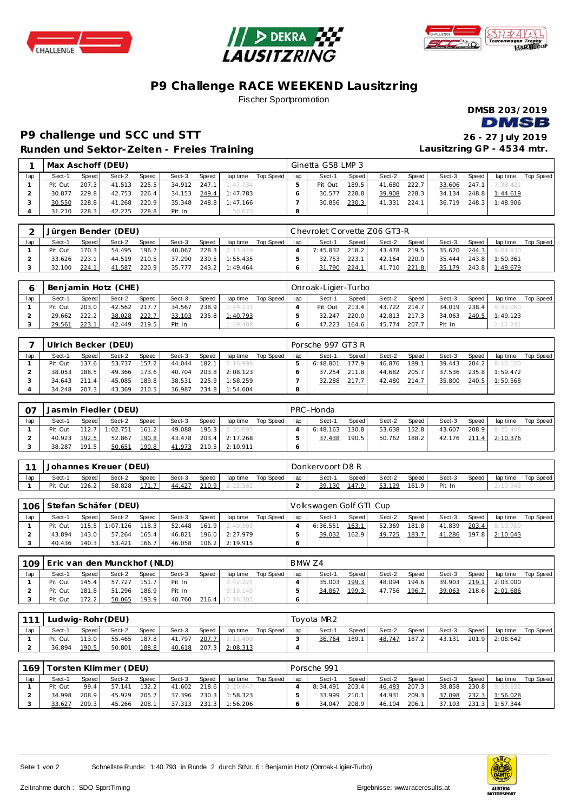





## **P9 Challenge RACE WEEKEND Lausitzring**

Fischer Sportpromotion



## **P9 challenge und SCC und STT 26 - 27 July 2019 Runden und Sektor-Zeiten - Freies Training**

**Lausitzring GP - 4534 mtr.**

|     | Max Aschoff (DEU) |       |        |       |        |       |                           |                    |     | Ginetta G58 LMP 3 |       |        |       |        |       |                |           |
|-----|-------------------|-------|--------|-------|--------|-------|---------------------------|--------------------|-----|-------------------|-------|--------|-------|--------|-------|----------------|-----------|
| lap | Sect-1            | Speed | Sect-2 | Speed | Sect-3 | Speed |                           | lap time Top Speed | lap | Sect-1            | Speed | Sect-2 | Speed | Sect-3 | Speed | lap time       | Top Speed |
|     | Pit Out           | 207.3 | 41.513 | 225.5 |        |       | $34.912$ $247.1$ 1:47.734 |                    |     | Pit Out           | 189.5 | 41.680 | 222.7 | 33.606 | 247.1 | 7:38.421       |           |
|     | 30.877            | 229.8 | 42.753 | 226.4 | 34.153 |       | 249.4 1:47.783            |                    |     | 30.577            | 228.8 | 39.908 | 228.3 | 34.134 |       | 248.8 1:44.619 |           |
|     | 30.550            | 228.8 | 41.268 | 220.9 | 35.348 |       | 248.8 1:47.166            |                    |     | 30.856            | 230.3 | 41.331 | 224.1 | 36.719 | 248.3 | 1:48.906       |           |
|     | 31.210            | 228.3 | 42.275 | 228.8 | Pit In |       | 1:50.670                  |                    |     |                   |       |        |       |        |       |                |           |

|     |         |       | Jürgen Bender (DEU) |       |        |         |          |           |     | l Chevrolet Corvette Z06 GT3-R |         |        |       |        |       |                    |           |
|-----|---------|-------|---------------------|-------|--------|---------|----------|-----------|-----|--------------------------------|---------|--------|-------|--------|-------|--------------------|-----------|
| lap | Sect-1  | Speed | Sect-2              | Speed | Sect-3 | Speed   | lap time | Top Speed | lap | Sect-1                         | Speed I | Sect-2 | Speed | Sect-3 | Speed | lap time           | Top Speed |
|     | Pit Out | 170.3 | 54.495              | 196.7 | 40.067 | 228.3   | 2:13.449 |           |     | 7:45.832                       | 218.2   | 43.478 | 219.5 | 35.620 |       | $244.3$   9:04.930 |           |
|     | 33.626  | 223.1 | 44.519              | 210.5 | 37.290 | 239.5   | 1:55.435 |           |     | 32.753                         | 223.1   | 42.164 | 220.0 | 35.444 |       | 243.8 1:50.361     |           |
|     | 32.100  | 224.1 | 41.587              | 220.9 | 35.777 | $243.2$ | 1:49.464 |           |     | 31.790                         | 224.1   | 41.710 | 221.8 | 35.179 | 243.8 | 1:48.679           |           |

|     |         |       | Benjamin Hotz (CHE) |       |        |       |          |           |     | Onroak-Ligier-Turbo |       |              |       |        |       |                |           |
|-----|---------|-------|---------------------|-------|--------|-------|----------|-----------|-----|---------------------|-------|--------------|-------|--------|-------|----------------|-----------|
| lap | Sect-1  | Speed | Sect-2              | Speed | Sect-3 | Speed | lap time | Top Speed | lap | Sect-1              | Speed | Sect-2       | Speed | Sect-3 | Speed | lap time       | Top Speed |
|     | Pit Out | 203.0 | 42.562              | 217.7 | 34.567 | 238.9 | 1:49.231 |           |     | Pit Out             | 213.4 | 43.722 214.7 |       | 34.019 |       | 238.4 8:43.060 |           |
|     | 29.662  | 222.2 | 38.028              | 222.7 | 33.103 | 235.8 | 1:40.793 |           |     | 32.247              | 220.0 | 42.813 217.3 |       | 34.063 |       | 240.5 1:49.123 |           |
|     | 29.561  | 223.1 | 42.449              | 219.5 | Pit In |       | 1:49.408 |           |     | 47.223              | 164.6 | 45.774       | 207.7 | Pit In |       | 2:11.241       |           |

|     |         | Ulrich Becker (DEU)<br>Speed<br>Speed<br>Sect-2<br>Sect-3<br>Speed I<br>Sect-1<br>lap time<br>157.2<br>137.6<br>53.737<br>182.1<br>44.044<br>2:16.998<br>188.51<br>203.8<br>38.053<br>173.6<br>2:08.123<br>40.704<br>49.366 |        |       |        |       |          |           |     | Porsche 997 GT3 R |       |        |       |        |       |                  |           |
|-----|---------|-----------------------------------------------------------------------------------------------------------------------------------------------------------------------------------------------------------------------------|--------|-------|--------|-------|----------|-----------|-----|-------------------|-------|--------|-------|--------|-------|------------------|-----------|
| lap |         |                                                                                                                                                                                                                             |        |       |        |       |          | Top Speed | lap | Sect-1            | Speed | Sect-2 | Speed | Sect-3 | Speed | lap time         | Top Speed |
|     | Pit Out |                                                                                                                                                                                                                             |        |       |        |       |          |           |     | 6:48.801          | 177.9 | 46.876 | 189.1 | 39.443 |       | $204.2$ 8:15.120 |           |
|     |         |                                                                                                                                                                                                                             |        |       |        |       |          |           |     | 37.254            | 211.8 | 44.682 | 205.7 | 37.536 | 235.8 | 1:59.472         |           |
|     | 34.643  | 2114                                                                                                                                                                                                                        | 45.085 | 189.8 | 38.531 | 225.9 | 1:58.259 |           |     | 32.288            | 217.7 | 42.480 | 214.7 | 35.800 | 240.5 | 1:50.568         |           |
|     | 34.248  | 207.3                                                                                                                                                                                                                       | 43.369 | 210.5 | 36.987 | 234.8 | 1:54.604 |           |     |                   |       |        |       |        |       |                  |           |

|     |         |         | Jasmin Fiedler (DEU) |        |        |       |          |           |     | PRC-Honda |         |        |         |        |       |                       |             |
|-----|---------|---------|----------------------|--------|--------|-------|----------|-----------|-----|-----------|---------|--------|---------|--------|-------|-----------------------|-------------|
| lap | Sect-1  | Speed I | Sect-2               | Speed  | Sect-3 | Speed | lap time | Top Speed | lap | Sect-1    | Speed   | Sect-2 | Speed I | Sect-3 | Speed | lap time              | Top Speed I |
|     | Pit Out |         | 112.7 1:02.751       | 161.21 | 49.088 | 195.3 | 2:35.095 |           |     | 6:48.163  | 130.8 l | 53.638 | 152.8   | 43.607 |       | 208.9 8:25.408        |             |
|     | 40.923  | 192.5   | 52.867               | 190.8  | 43.478 | 203.4 | 2:17.268 |           |     | 37.438    | 190.5   | 50.762 | 188.2   |        |       | 42.176 211.4 2:10.376 |             |
|     | 38.287  | 191.5   | 50.651               | 190.8  | 41.973 | 210.5 | 2:10.911 |           |     |           |         |        |         |        |       |                       |             |

| $-11$ | <b>Johannes Kreuer (DEU)</b><br>Speed<br>Speed  <br>Sect-2<br>Sect-3<br>Speed  <br>Sect-1<br>lap time |       |        |       |        |       |          |           |     | Donkervoort D8 R |        |        |       |        |       |           |           |
|-------|-------------------------------------------------------------------------------------------------------|-------|--------|-------|--------|-------|----------|-----------|-----|------------------|--------|--------|-------|--------|-------|-----------|-----------|
| lap   |                                                                                                       |       |        |       |        |       |          | Top Speed | lap | Sect-1           | Speed  | Sect-2 | Speed | Sect-3 | Speed | lap time  | Top Speed |
|       | Pit Out                                                                                               | 126.2 | 58.828 | 171.7 | 44.427 | 210.9 | 2:22.562 |           |     | 39.130           | 147.91 | 53.129 | 161.9 | Pit In |       | `: 19.948 |           |

| 106 |         |       | Stefan Schäfer (DEU) |       |              |         |                |                    |     | Volkswagen Golf GTI Cup |       |        |       |        |       |                |           |
|-----|---------|-------|----------------------|-------|--------------|---------|----------------|--------------------|-----|-------------------------|-------|--------|-------|--------|-------|----------------|-----------|
| lap | Sect-1  | Speed | Sect-2               | Speed | Sect-3       | Speed   |                | lap time Top Speed | lap | Sect-1                  | Speed | Sect-2 | Speed | Sect-3 | Speed | lap time       | Top Speed |
|     | Pit Out |       | $115.5$ 1:07.126     | 118.3 | 52.448 161.9 |         | 2:49.508       |                    |     | 6:36.551                | 163.1 | 52.369 | 181.8 | 41.839 |       | 203.4 8:10.759 |           |
|     | 43.894  | 143.0 | 57.264               | 165.4 | 46.821       |         | 196.0 2:27.979 |                    |     | 39.032                  | 162.9 | 49.725 | 183.7 | 41.286 | 197.8 | 2:10.043       |           |
|     | 40.436  | 140.3 | 53.421               | 166.7 | 46.058       | $106.2$ | 2:19.915       |                    |     |                         |       |        |       |        |       |                |           |

|     | 109 Eric van den Munckhof (NLD) |         |        |       |        |       |           |           | BMW Z4 |        |       |        |       |        |       |          |           |
|-----|---------------------------------|---------|--------|-------|--------|-------|-----------|-----------|--------|--------|-------|--------|-------|--------|-------|----------|-----------|
| lap | Sect-1                          | Speed I | Sect-2 | Speed | Sect-3 | Speed | lap time  | Top Speed | lap    | Sect-1 | Speed | Sect-2 | Speed | Sect-3 | Speed | lap time | Top Speed |
|     | Pit Out                         | 145.4   | 57.727 | 151.7 | Pit In |       | 2:42.225  |           |        | 35.003 | 199.3 | 48.094 | 194.6 | 39.903 | 219.1 | 2:03.000 |           |
|     | Pit Out                         | 181.8   | 51.296 | 186.9 | Pit In |       | 3:16.145  |           |        | 34.867 | 199.3 | 47.756 | 196.7 | 39.063 | 218.6 | 2:01.686 |           |
|     | Pit Out                         | 172.21  | 50.065 | 193.9 | 40.760 | 216.4 | 10:16.305 |           |        |        |       |        |       |        |       |          |           |

| 111 |         |       | Ludwig-Rohr (DEU) |       |        |       |          |           |     | Tovota MR2 |       |        |       |        |       |          |           |
|-----|---------|-------|-------------------|-------|--------|-------|----------|-----------|-----|------------|-------|--------|-------|--------|-------|----------|-----------|
| lap | Sect-1  | Speed | Sect-2            | Speed | Sect-3 | Speed | lap time | Top Speed | lap | Sect-1     | Speed | Sect-2 | Speed | Sect-3 | Speed | lap time | Top Speed |
|     | Pit Out | 113.0 | 55.465            | 187.8 | 41.797 | 207.7 | 2:13.498 |           |     | 36.764     | 189.1 | 48.747 | 187.2 | 43.131 | 201.9 | 2:08.642 |           |
|     | 36.894  | 190.5 | 50.801            | 188.8 | 40.618 | 207.3 | 2:08.313 |           |     |            |       |        |       |        |       |          |           |

| 169 |         |       | Torsten Klimmer (DEU) |       |        |       |          |           |     | Porsche 991 |       |              |       |        |       |                |           |
|-----|---------|-------|-----------------------|-------|--------|-------|----------|-----------|-----|-------------|-------|--------------|-------|--------|-------|----------------|-----------|
| lap | Sect-1  | Speed | Sect-2                | Speed | Sect-3 | Speed | lap time | Top Speed | lap | Sect-1      | Speed | Sect-2       | Speed | Sect-3 | Speed | lap time       | Top Speed |
|     | Pit Out | 99.4  | 57.141                | 132.2 | 41.602 | 218.6 | 2:20.647 |           |     | 8:34.491    | 203.4 | 46.483       | 207.3 | 38.858 |       | 230.8 9:59.832 |           |
|     | 34.998  | 208.9 | 45.929                | 205.7 | 37.396 | 230.3 | 1:58.323 |           |     | 33.999      | 210.1 | 44.931       | 209.3 | 37.098 |       | 232.3 1:56.028 |           |
|     | 33.627  | 209.3 | 45.266                | 208.1 | 37.313 | 231.3 | 1:56.206 |           |     | 34.047      | 208.9 | 46.104 206.1 |       | 37.193 |       | 231.3 1:57.344 |           |